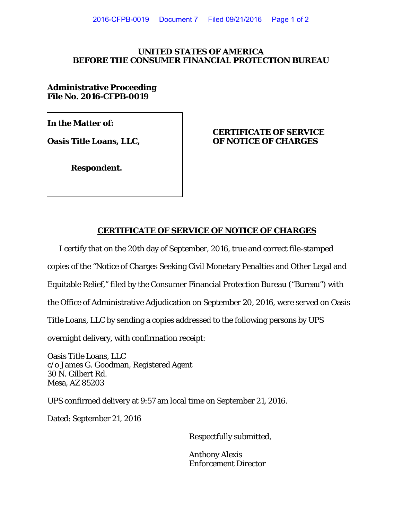## **UNITED STATES OF AMERICA BEFORE THE CONSUMER FINANCIAL PROTECTION BUREAU**

**Administrative Proceeding File No. 2016-CFPB-0019**

**In the Matter of:** 

## **CERTIFICATE OF SERVICE Oasis Title Loans, LLC, OF NOTICE OF CHARGES**

**Respondent.** 

## **CERTIFICATE OF SERVICE OF NOTICE OF CHARGES**

I certify that on the 20th day of September, 2016, true and correct file-stamped

copies of the "Notice of Charges Seeking Civil Monetary Penalties and Other Legal and

Equitable Relief," filed by the Consumer Financial Protection Bureau ("Bureau") with

the Office of Administrative Adjudication on September 20, 2016, were served on Oasis

Title Loans, LLC by sending a copies addressed to the following persons by UPS

overnight delivery, with confirmation receipt:

Oasis Title Loans, LLC c/o James G. Goodman, Registered Agent 30 N. Gilbert Rd. Mesa, AZ 85203

UPS confirmed delivery at 9:57 am local time on September 21, 2016.

Dated: September 21, 2016

Respectfully submitted,

Anthony Alexis Enforcement Director